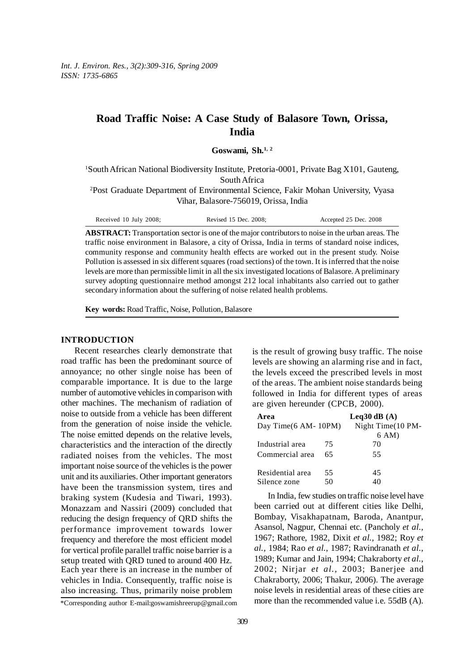*Int. J. Environ. Res., 3(2):309-316, Spring 2009 ISSN: 1735-6865*

# **Road Traffic Noise: A Case Study of Balasore Town, Orissa, India**

**Goswami, Sh.1, 2**

<sup>1</sup>South African National Biodiversity Institute, Pretoria-0001, Private Bag X101, Gauteng, South Africa

2 Post Graduate Department of Environmental Science, Fakir Mohan University, Vyasa Vihar, Balasore-756019, Orissa, India

Received 10 July 2008; Revised 15 Dec. 2008; Accepted 25 Dec. 2008

**ABSTRACT:** Transportation sector is one of the major contributors to noise in the urban areas. The traffic noise environment in Balasore, a city of Orissa, India in terms of standard noise indices, community response and community health effects are worked out in the present study. Noise Pollution is assessed in six different squares (road sections) of the town. It is inferred that the noise levels are more than permissible limit in all the six investigated locations of Balasore. A preliminary survey adopting questionnaire method amongst 212 local inhabitants also carried out to gather secondary information about the suffering of noise related health problems.

**Key words:** Road Traffic, Noise, Pollution, Balasore

#### **INTRODUCTION**

Recent researches clearly demonstrate that road traffic has been the predominant source of annoyance; no other single noise has been of comparable importance. It is due to the large number of automotive vehicles in comparison with other machines. The mechanism of radiation of noise to outside from a vehicle has been different from the generation of noise inside the vehicle. The noise emitted depends on the relative levels, characteristics and the interaction of the directly radiated noises from the vehicles. The most important noise source of the vehicles is the power unit and its auxiliaries. Other important generators have been the transmission system, tires and braking system (Kudesia and Tiwari, 1993). Monazzam and Nassiri (2009) concluded that reducing the design frequency of QRD shifts the performance improvement towards lower frequency and therefore the most efficient model for vertical profile parallel traffic noise barrier is a setup treated with QRD tuned to around 400 Hz. Each year there is an increase in the number of vehicles in India. Consequently, traffic noise is also increasing. Thus, primarily noise problem

is the result of growing busy traffic. The noise levels are showing an alarming rise and in fact, the levels exceed the prescribed levels in most of the areas. The ambient noise standards being followed in India for different types of areas are given hereunder (CPCB, 2000).

| Area<br>Day Time(6 AM- 10PM) | Leq30 dB $(A)$<br>Night Time(10 PM-<br>6 AM) |    |
|------------------------------|----------------------------------------------|----|
| Industrial area              | 75                                           | 70 |
| Commercial area              | 65                                           | 55 |
| Residential area             | 55                                           | 45 |
| Silence zone                 | 50                                           | 40 |

In India, few studies on traffic noise level have been carried out at different cities like Delhi, Bombay, Visakhapatnam, Baroda, Anantpur, Asansol, Nagpur, Chennai etc. (Pancholy *et al.,* 1967; Rathore, 1982, Dixit *et al.,* 1982; Roy *et al.,* 1984; Rao *et al.,* 1987; Ravindranath *et al.,* 1989; Kumar and Jain, 1994; Chakraborty *et al.,* 2002; Nirjar *et al.,* 2003; Banerjee and Chakraborty, 2006; Thakur, 2006). The average noise levels in residential areas of these cities are more than the recommended value i.e. 55dB (A).

<sup>\*</sup>Corresponding author E-mail:goswamishreerup@gmail.com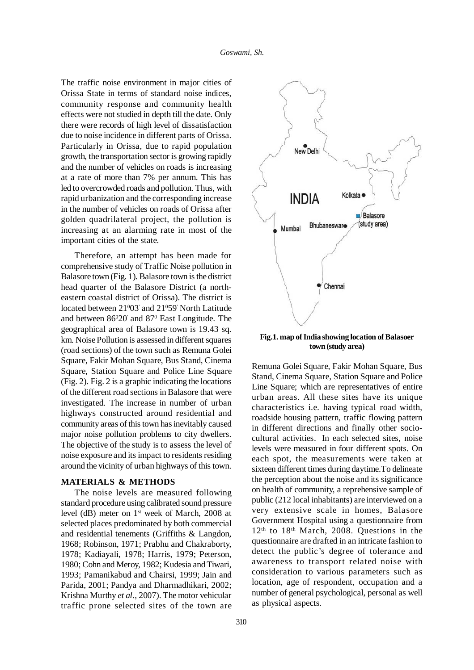The traffic noise environment in major cities of Orissa State in terms of standard noise indices, community response and community health effects were not studied in depth till the date. Only there were records of high level of dissatisfaction due to noise incidence in different parts of Orissa. Particularly in Orissa, due to rapid population growth, the transportation sector is growing rapidly and the number of vehicles on roads is increasing at a rate of more than 7% per annum. This has led to overcrowded roads and pollution. Thus, with rapid urbanization and the corresponding increase in the number of vehicles on roads of Orissa after golden quadrilateral project, the pollution is increasing at an alarming rate in most of the important cities of the state.

Therefore, an attempt has been made for comprehensive study of Traffic Noise pollution in Balasore town (Fig. 1). Balasore town is the district head quarter of the Balasore District (a northeastern coastal district of Orissa). The district is located between 21<sup>0</sup>03 and 21<sup>0</sup>59 North Latitude and between  $86^{\circ}20'$  and  $87^{\circ}$  East Longitude. The geographical area of Balasore town is 19.43 sq. km. Noise Pollution is assessed in different squares (road sections) of the town such as Remuna Golei Square, Fakir Mohan Square, Bus Stand*,* Cinema Square, Station Square and Police Line Square (Fig. 2). Fig. 2 is a graphic indicating the locations of the different road sections in Balasore that were investigated. The increase in number of urban highways constructed around residential and community areas of this town has inevitably caused major noise pollution problems to city dwellers. The objective of the study is to assess the level of noise exposure and its impact to residents residing around the vicinity of urban highways of this town.

#### **MATERIALS & METHODS**

The noise levels are measured following standard procedure using calibrated sound pressure level (dB) meter on 1st week of March, 2008 at selected places predominated by both commercial and residential tenements (Griffiths & Langdon, 1968; Robinson, 1971; Prabhu and Chakraborty, 1978; Kadiayali, 1978; Harris, 1979; Peterson, 1980; Cohn and Meroy, 1982; Kudesia and Tiwari, 1993; Pamanikabud and Chairsi, 1999; Jain and Parida, 2001; Pandya and Dharmadhikari, 2002; Krishna Murthy *et al.,* 2007). The motor vehicular traffic prone selected sites of the town are



**Fig.1. map of India showing location of Balasoer town (study area)**

Remuna Golei Square, Fakir Mohan Square, Bus Stand, Cinema Square, Station Square and Police Line Square; which are representatives of entire urban areas. All these sites have its unique characteristics i.e. having typical road width, roadside housing pattern, traffic flowing pattern in different directions and finally other sociocultural activities. In each selected sites, noise levels were measured in four different spots. On each spot, the measurements were taken at sixteen different times during daytime.To delineate the perception about the noise and its significance on health of community, a reprehensive sample of public (212 local inhabitants) are interviewed on a very extensive scale in homes, Balasore Government Hospital using a questionnaire from  $12<sup>th</sup>$  to  $18<sup>th</sup>$  March, 2008. Questions in the questionnaire are drafted in an intricate fashion to detect the public's degree of tolerance and awareness to transport related noise with consideration to various parameters such as location, age of respondent, occupation and a number of general psychological, personal as well as physical aspects.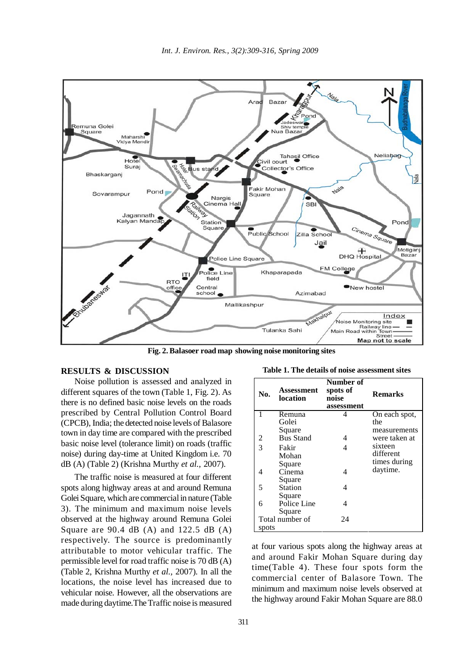

**Fig. 2. Balasoer road map showing noise monitoring sites**

## **RESULTS & DISCUSSION**

Noise pollution is assessed and analyzed in different squares of the town (Table 1, Fig. 2). As there is no defined basic noise levels on the roads prescribed by Central Pollution Control Board (CPCB), India; the detected noise levels of Balasore town in day time are compared with the prescribed basic noise level (tolerance limit) on roads (traffic noise) during day-time at United Kingdom i.e. 70 dB (A) (Table 2) (Krishna Murthy *et al.,* 2007).

The traffic noise is measured at four different spots along highway areas at and around Remuna Golei Square, which are commercial in nature (Table 3). The minimum and maximum noise levels observed at the highway around Remuna Golei Square are  $90.4$  dB (A) and 122.5 dB (A) respectively. The source is predominantly attributable to motor vehicular traffic. The permissible level for road traffic noise is 70 dB (A) (Table 2, Krishna Murthy *et al.,* 2007). In all the locations, the noise level has increased due to vehicular noise. However, all the observations are made during daytime.The Traffic noise is measured

| Table 1. The details of noise assessment sites |  |
|------------------------------------------------|--|
|------------------------------------------------|--|

| No.   | Assessment<br>location | Number of<br>spots of<br>noise<br>assessment | <b>Remarks</b> |
|-------|------------------------|----------------------------------------------|----------------|
| 1     | Remuna                 | 4                                            | On each spot,  |
|       | Golei                  |                                              | the            |
|       | Square                 |                                              | measurements   |
| 2     | <b>Bus Stand</b>       | 4                                            | were taken at  |
| 3     | Fakir                  | 4                                            | sixteen        |
|       | Mohan                  |                                              | different      |
|       | Square                 |                                              | times during   |
| 4     | Cinema                 | 4                                            | daytime.       |
|       | Square                 |                                              |                |
| 5     | <b>Station</b>         | 4                                            |                |
|       | Square                 |                                              |                |
| 6     | Police Line            | 4                                            |                |
|       | Square                 |                                              |                |
|       | Total number of        | 24                                           |                |
| spots |                        |                                              |                |

at four various spots along the highway areas at and around Fakir Mohan Square during day time(Table 4). These four spots form the commercial center of Balasore Town. The minimum and maximum noise levels observed at the highway around Fakir Mohan Square are 88.0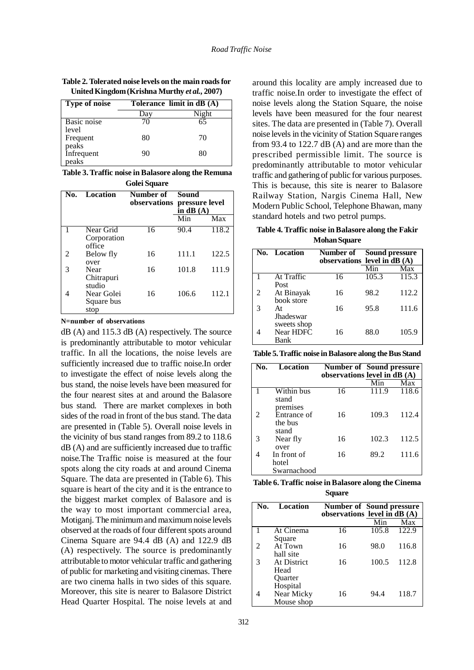| Table 2. Tolerated noise levels on the main roads for |
|-------------------------------------------------------|
| United Kingdom (Krishna Murthy et al., 2007)          |

| Type of noise | Tolerance limit in dB (A) |       |  |
|---------------|---------------------------|-------|--|
|               | Day                       | Night |  |
| Basic noise   | 70                        | 65    |  |
| level         |                           |       |  |
| Frequent      | 80                        | 70    |  |
| peaks         |                           |       |  |
| Infrequent    | 90                        | 80    |  |
| peaks         |                           |       |  |

**Table 3. Traffic noise in Balasore along the Remuna Golei Square**

| No. | Location                           | Number of | Sound<br>observations pressure level<br>in $dB(A)$ |       |
|-----|------------------------------------|-----------|----------------------------------------------------|-------|
|     |                                    |           | Min                                                | Max   |
|     | Near Grid<br>Corporation<br>office | 16        | 90.4                                               | 118.2 |
| 2   | Below fly<br>over                  | 16        | 111.1                                              | 122.5 |
| 3   | Near<br>Chitrapuri<br>studio       | 16        | 101.8                                              | 111.9 |
|     | Near Golei<br>Square bus<br>stop   | 16        | 106.6                                              | 112.1 |

**N=number of observations**

dB (A) and 115.3 dB (A) respectively. The source is predominantly attributable to motor vehicular traffic. In all the locations, the noise levels are sufficiently increased due to traffic noise.In order to investigate the effect of noise levels along the bus stand, the noise levels have been measured for the four nearest sites at and around the Balasore bus stand. There are market complexes in both sides of the road in front of the bus stand. The data are presented in (Table 5). Overall noise levels in the vicinity of bus stand ranges from 89.2 to 118.6 dB (A) and are sufficiently increased due to traffic noise.The Traffic noise is measured at the four spots along the city roads at and around Cinema Square. The data are presented in (Table 6). This square is heart of the city and it is the entrance to the biggest market complex of Balasore and is the way to most important commercial area, Motiganj. The minimum and maximum noise levels observed at the roads of four different spots around Cinema Square are 94.4 dB (A) and 122.9 dB (A) respectively. The source is predominantly attributable to motor vehicular traffic and gathering of public for marketing and visiting cinemas. There are two cinema halls in two sides of this square. Moreover, this site is nearer to Balasore District Head Quarter Hospital. The noise levels at and

around this locality are amply increased due to traffic noise.In order to investigate the effect of noise levels along the Station Square, the noise levels have been measured for the four nearest sites. The data are presented in (Table 7). Overall noise levels in the vicinity of Station Square ranges from 93.4 to 122.7 dB (A) and are more than the prescribed permissible limit. The source is predominantly attributable to motor vehicular traffic and gathering of public for various purposes. This is because, this site is nearer to Balasore Railway Station, Nargis Cinema Hall, New Modern Public School, Telephone Bhawan, many standard hotels and two petrol pumps.

**Table 4. Traffic noise in Balasore along the Fakir Mohan Square**

|   | <b>No.</b> Location                   | Number of | Sound pressure<br>observations level in $dB(A)$ |       |
|---|---------------------------------------|-----------|-------------------------------------------------|-------|
|   |                                       |           | Min                                             | Max   |
|   | At Traffic<br>Post                    | 16        | 105.3                                           | 115.3 |
| 2 | At Binayak<br>book store              | 16        | 98.2                                            | 112.2 |
| 3 | At<br><b>Jhadeswar</b><br>sweets shop | 16        | 95.8                                            | 111.6 |
|   | Near HDFC<br>Bank                     | 16        | 88.0                                            | 105.9 |

**Table 5. Traffic noise in Balasore along the Bus Stand**

| No. | Location                            | <b>Number of Sound pressure</b><br>observations level in dB (A) |       |       |
|-----|-------------------------------------|-----------------------------------------------------------------|-------|-------|
|     |                                     |                                                                 | Min   | Max   |
|     | Within bus<br>stand<br>premises     | 16                                                              | 111.9 | 118.6 |
|     | Entrance of<br>the bus<br>stand     | 16                                                              | 109.3 | 112.4 |
|     | Near fly<br>over                    | 16                                                              | 102.3 | 112.5 |
|     | In front of<br>hotel<br>Swarnachood | 16                                                              | 89.2  | 111.6 |

**Table 6. Traffic noise in Balasore along the Cinema Square**

| No. | Location                                          | <b>Number of Sound pressure</b><br>observations level in $dB(A)$ |       |       |
|-----|---------------------------------------------------|------------------------------------------------------------------|-------|-------|
|     |                                                   |                                                                  | Min   | Max   |
|     | At Cinema<br>Square                               | 16                                                               | 105.8 | 122.9 |
| 2   | At Town<br>hall site                              | 16                                                               | 98.0  | 116.8 |
| 3   | At District<br>Head<br><b>Ouarter</b><br>Hospital | 16                                                               | 100.5 | 112.8 |
|     | Near Micky<br>Mouse shop                          | 16                                                               | 94.4  | 118.7 |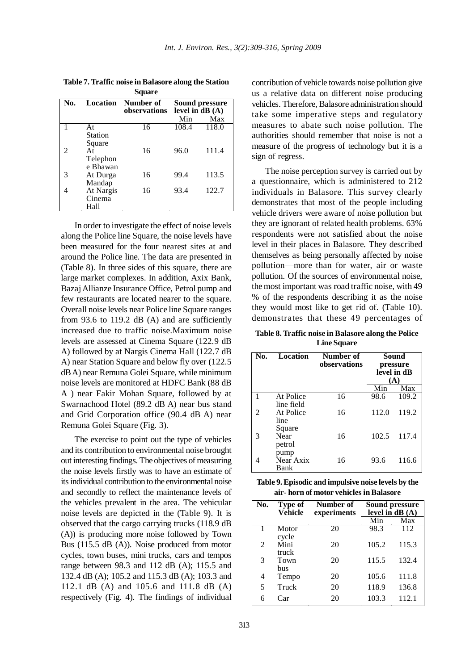| No. | Location       | Number of<br>observations | Sound pressure<br>level in $dB(A)$ |       |  |
|-----|----------------|---------------------------|------------------------------------|-------|--|
|     |                |                           | Min                                | Max   |  |
|     | At             | 16                        | 108.4                              | 118.0 |  |
|     | <b>Station</b> |                           |                                    |       |  |
|     | Square         |                           |                                    |       |  |
|     | At             | 16                        | 96.0                               | 111.4 |  |
|     | Telephon       |                           |                                    |       |  |
|     | e Bhawan       |                           |                                    |       |  |
| 3   | At Durga       | 16                        | 99.4                               | 113.5 |  |
|     | Mandap         |                           |                                    |       |  |
|     | At Nargis      | 16                        | 93.4                               | 122.7 |  |
|     | Cinema         |                           |                                    |       |  |
|     | Hall           |                           |                                    |       |  |

**Table 7. Traffic noise in Balasore along the Station Square**

In order to investigate the effect of noise levels along the Police line Square, the noise levels have been measured for the four nearest sites at and around the Police line. The data are presented in (Table 8). In three sides of this square, there are large market complexes. In addition, Axix Bank, Bazaj Allianze Insurance Office, Petrol pump and few restaurants are located nearer to the square. Overall noise levels near Police line Square ranges from 93.6 to 119.2 dB (A) and are sufficiently increased due to traffic noise.Maximum noise levels are assessed at Cinema Square (122.9 dB A) followed by at Nargis Cinema Hall (122.7 dB A) near Station Square and below fly over (122.5 dB A) near Remuna Golei Square, while minimum noise levels are monitored at HDFC Bank (88 dB A ) near Fakir Mohan Square, followed by at Swarnachood Hotel (89.2 dB A) near bus stand and Grid Corporation office (90.4 dB A) near Remuna Golei Square (Fig. 3).

The exercise to point out the type of vehicles and its contribution to environmental noise brought out interesting findings. The objectives of measuring the noise levels firstly was to have an estimate of its individual contribution to the environmental noise and secondly to reflect the maintenance levels of the vehicles prevalent in the area. The vehicular noise levels are depicted in the (Table 9). It is observed that the cargo carrying trucks (118.9 dB (A)) is producing more noise followed by Town Bus (115.5 dB (A)). Noise produced from motor cycles, town buses, mini trucks, cars and tempos range between 98.3 and 112 dB (A); 115.5 and 132.4 dB (A); 105.2 and 115.3 dB (A); 103.3 and 112.1 dB (A) and 105.6 and 111.8 dB (A) respectively (Fig. 4). The findings of individual contribution of vehicle towards noise pollution give us a relative data on different noise producing vehicles. Therefore, Balasore administration should take some imperative steps and regulatory measures to abate such noise pollution. The authorities should remember that noise is not a measure of the progress of technology but it is a sign of regress.

The noise perception survey is carried out by a questionnaire, which is administered to 212 individuals in Balasore. This survey clearly demonstrates that most of the people including vehicle drivers were aware of noise pollution but they are ignorant of related health problems. 63% respondents were not satisfied about the noise level in their places in Balasore. They described themselves as being personally affected by noise pollution—more than for water, air or waste pollution. Of the sources of environmental noise, the most important was road traffic noise, with 49 % of the respondents describing it as the noise they would most like to get rid of. (Table 10). demonstrates that these 49 percentages of

**Table 8. Traffic noise in Balasore along the Police Line Square**

| No. | Location                    | Number of<br>observations | Sound<br>pressure<br>level in dB<br>(A) |       |
|-----|-----------------------------|---------------------------|-----------------------------------------|-------|
|     |                             |                           | Min                                     | Max   |
|     | At Police<br>line field     | 16                        | 98.6                                    | 109.2 |
| 2   | At Police<br>line<br>Square | 16                        | 112.0                                   | 119.2 |
| 3   | Near<br>petrol<br>pump      | 16                        | 102.5                                   | 117.4 |
|     | Near Axix<br>Bank           | 16                        | 93.6                                    | 116.6 |

**Table 9. Episodic and impulsive noise levels by the air- horn of motor vehicles in Balasore**

| No. | Type of<br>Vehicle | Number of<br>experiments | Sound pressure<br>level in $dB(A)$ |       |
|-----|--------------------|--------------------------|------------------------------------|-------|
|     |                    |                          | Min                                | Max   |
|     | Motor<br>cycle     | 20                       | 98.3                               | 112   |
| 2   | Mini<br>truck      | 20                       | 105.2                              | 115.3 |
| 3   | Town<br>bus        | 20                       | 115.5                              | 132.4 |
| 4   | Tempo              | 20                       | 105.6                              | 111.8 |
| 5   | Truck              | 20                       | 118.9                              | 136.8 |
| 6   | Car                | 20                       | 103.3                              | 112.1 |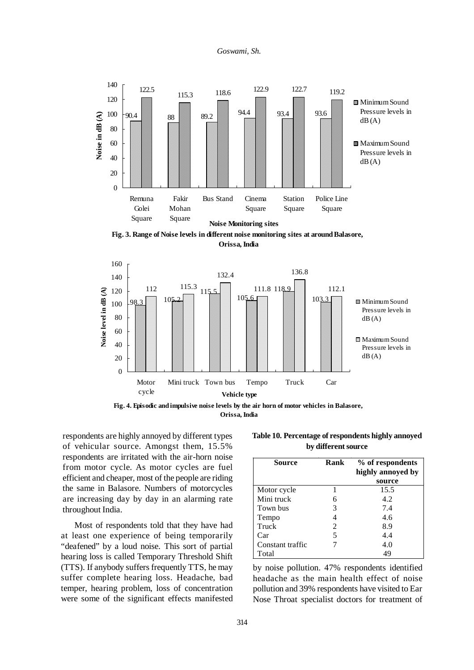*Goswami, Sh.*







**Fig. 4. Episodic and impulsive noise levels by the air horn of motor vehicles in Balasore, Orissa, India**

respondents are highly annoyed by different types of vehicular source. Amongst them, 15.5% respondents are irritated with the air-horn noise from motor cycle. As motor cycles are fuel efficient and cheaper, most of the people are riding the same in Balasore. Numbers of motorcycles are increasing day by day in an alarming rate throughout India.

Most of respondents told that they have had at least one experience of being temporarily "deafened" by a loud noise. This sort of partial hearing loss is called Temporary Threshold Shift (TTS). If anybody suffers frequently TTS, he may suffer complete hearing loss. Headache, bad temper, hearing problem, loss of concentration were some of the significant effects manifested

**Table 10. Percentage of respondents highly annoyed by different source**

| Source           | Rank                        | % of respondents<br>highly annoyed by<br>source |
|------------------|-----------------------------|-------------------------------------------------|
| Motor cycle      |                             | 15.5                                            |
| Mini truck       | 6                           | 4.2                                             |
| Town bus         | 3                           | 7.4                                             |
| Tempo            | 4                           | 4.6                                             |
| Truck            | $\mathcal{D}_{\mathcal{L}}$ | 8.9                                             |
| Car              | $\overline{\mathbf{5}}$     | 4.4                                             |
| Constant traffic |                             | 4.0                                             |
| Total            |                             | 49                                              |

by noise pollution. 47% respondents identified headache as the main health effect of noise pollution and 39% respondents have visited to Ear Nose Throat specialist doctors for treatment of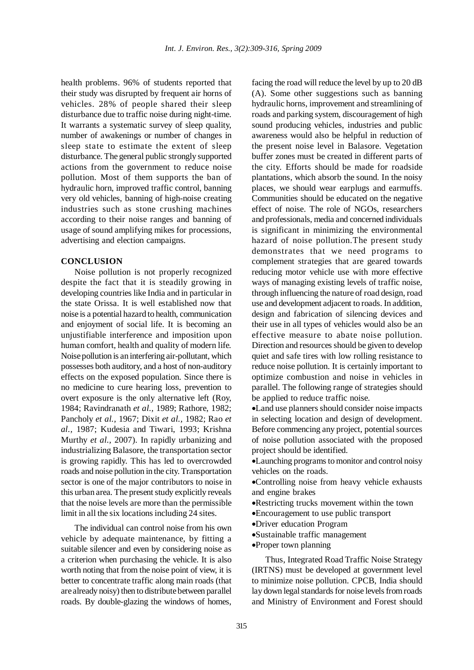health problems. 96% of students reported that their study was disrupted by frequent air horns of vehicles. 28% of people shared their sleep disturbance due to traffic noise during night-time. It warrants a systematic survey of sleep quality, number of awakenings or number of changes in sleep state to estimate the extent of sleep disturbance. The general public strongly supported actions from the government to reduce noise pollution. Most of them supports the ban of hydraulic horn, improved traffic control, banning very old vehicles, banning of high-noise creating industries such as stone crushing machines according to their noise ranges and banning of usage of sound amplifying mikes for processions, advertising and election campaigns.

## **CONCLUSION**

Noise pollution is not properly recognized despite the fact that it is steadily growing in developing countries like India and in particular in the state Orissa. It is well established now that noise is a potential hazard to health, communication and enjoyment of social life. It is becoming an unjustifiable interference and imposition upon human comfort, health and quality of modern life*.* Noise pollution is an interfering air-pollutant, which possesses both auditory, and a host of non-auditory effects on the exposed population. Since there is no medicine to cure hearing loss, prevention to overt exposure is the only alternative left (Roy, 1984; Ravindranath *et al.,* 1989; Rathore, 1982; Pancholy *et al.,* 1967; Dixit *et al.,* 1982; Rao *et al.,* 1987; Kudesia and Tiwari, 1993; Krishna Murthy *et al.,* 2007). In rapidly urbanizing and industrializing Balasore, the transportation sector is growing rapidly. This has led to overcrowded roads and noise pollution in the city. Transportation sector is one of the major contributors to noise in this urban area. The present study explicitly reveals that the noise levels are more than the permissible limit in all the six locations including 24 sites.

The individual can control noise from his own vehicle by adequate maintenance, by fitting a suitable silencer and even by considering noise as a criterion when purchasing the vehicle. It is also worth noting that from the noise point of view, it is better to concentrate traffic along main roads (that are already noisy) then to distribute between parallel roads. By double-glazing the windows of homes,

facing the road will reduce the level by up to 20 dB (A). Some other suggestions such as banning hydraulic horns, improvement and streamlining of roads and parking system, discouragement of high sound producing vehicles, industries and public awareness would also be helpful in reduction of the present noise level in Balasore. Vegetation buffer zones must be created in different parts of the city. Efforts should be made for roadside plantations, which absorb the sound. In the noisy places, we should wear earplugs and earmuffs. Communities should be educated on the negative effect of noise. The role of NGOs, researchers and professionals, media and concerned individuals is significant in minimizing the environmental hazard of noise pollution.The present study demonstrates that we need programs to complement strategies that are geared towards reducing motor vehicle use with more effective ways of managing existing levels of traffic noise, through influencing the nature of road design, road use and development adjacent to roads. In addition, design and fabrication of silencing devices and their use in all types of vehicles would also be an effective measure to abate noise pollution. Direction and resources should be given to develop quiet and safe tires with low rolling resistance to reduce noise pollution. It is certainly important to optimize combustion and noise in vehicles in parallel. The following range of strategies should be applied to reduce traffic noise.

•Land use planners should consider noise impacts in selecting location and design of development. Before commencing any project, potential sources of noise pollution associated with the proposed project should be identified.

- •Launching programs to monitor and control noisy vehicles on the roads.
- •Controlling noise from heavy vehicle exhausts and engine brakes
- •Restricting trucks movement within the town
- •Encouragement to use public transport
- •Driver education Program
- •Sustainable traffic management
- •Proper town planning

Thus, Integrated Road Traffic Noise Strategy (IRTNS) must be developed at government level to minimize noise pollution. CPCB, India should lay down legal standards for noise levels from roads and Ministry of Environment and Forest should